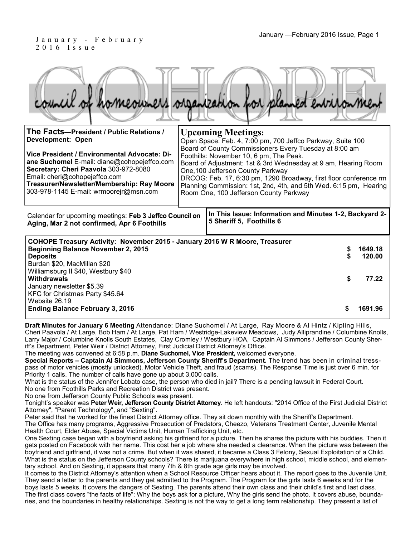Board of Adjustment: 1st & 3rd Wednesday at 9 am, Hearing Room

DRCOG: Feb. 17, 6:30 pm, 1290 Broadway, first floor conference rm Planning Commission: 1st, 2nd, 4th, and 5th Wed. 6:15 pm, Hearing

#### January —February 2016 Issue, Page 1 J a n u a r y - F e b r u a r y 2 0 1 6 I s s u e

**ane Suchomel** E-mail: diane@cohopejeffco.com

**Treasurer/Newsletter/Membership: Ray Moore**  303-978-1145 E-mail: wrmoorejr@msn.com

**Secretary: Cheri Paavola** 303-972-8080

Email: cheri@cohopejeffco.com

| council of homeowners organization for planned entrionment    |                                                                                                                                                   |
|---------------------------------------------------------------|---------------------------------------------------------------------------------------------------------------------------------------------------|
| The Facts-President / Public Relations /<br>Development: Open | <b>Upcoming Meetings:</b><br>Open Space: Feb. 4, 7:00 pm, 700 Jeffco Parkway, Suite 100<br>Board of County Commissioners Every Tuesday at 8:00 am |
| Vice President / Environmental Advocate: Di-                  | Foothills: November 10, 6 pm, The Peak.                                                                                                           |

One,100 Jefferson County Parkway

Room One, 100 Jefferson County Parkway

**In This Issue: Information and Minutes 1-2, Backyard 2- 5 Sheriff 5, Foothills 6**  Calendar for upcoming meetings: **Feb 3 Jeffco Council on Aging, Mar 2 not confirmed, Apr 6 Foothills COHOPE Treasury Activity: November 2015 - January 2016 W R Moore, Treasurer Beginning Balance November 2, 2015 \$ 1649.18 Deposits \$ 120.00** Burdan \$20, MacMillan \$20 Williamsburg II \$40, Westbury \$40 **Withdrawals \$ 77.22**  January newsletter \$5.39 KFC for Christmas Party \$45.64 Website 26.19 **Ending Balance February 3, 2016 <b>b 1691.96 <b>\$** 1691.96

**Draft Minutes for January 6 Meeting** Attendance: Diane Suchomel / At Large, Ray Moore & Al Hintz / Kipling Hills, Cheri Paavola / At Large, Bob Ham / At Large, Pat Ham / Westridge-Lakeview Meadows, Judy Alliprandine / Columbine Knolls, Larry Major / Columbine Knolls South Estates, Clay Cromley / Westbury HOA, Captain Al Simmons / Jefferson County Sheriff's Department, Peter Weir / District Attorney, First Judicial District Attorney's Office.

The meeting was convened at 6:58 p.m. **Diane Suchomel, Vice President,** welcomed everyone.

**Special Reports – Captain Al Simmons, Jefferson County Sheriff's Department.** The trend has been in criminal tresspass of motor vehicles (mostly unlocked), Motor Vehicle Theft, and fraud (scams). The Response Time is just over 6 min. for Priority 1 calls. The number of calls have gone up about 3,000 calls.

What is the status of the Jennifer Lobato case, the person who died in jail? There is a pending lawsuit in Federal Court. No one from Foothills Parks and Recreation District was present.

No one from Jefferson County Public Schools was present.

Tonight's speaker was **Peter Weir, Jefferson County District Attorney**. He left handouts: "2014 Office of the First Judicial District Attorney", "Parent Technology", and "Sexting".

Peter said that he worked for the finest District Attorney office. They sit down monthly with the Sheriff's Department.

The Office has many programs, Aggressive Prosecution of Predators, Cheezo, Veterans Treatment Center, Juvenile Mental Health Court, Elder Abuse, Special Victims Unit, Human Trafficking Unit, etc.

One Sexting case began with a boyfriend asking his girlfriend for a picture. Then he shares the picture with his buddies. Then it gets posted on Facebook with her name. This cost her a job where she needed a clearance. When the picture was between the boyfriend and girlfriend, it was not a crime. But when it was shared, it became a Class 3 Felony, Sexual Exploitation of a Child. What is the status on the Jefferson County schools? There is marijuana everywhere in high school, middle school, and elementary school. And on Sexting, it appears that many 7th & 8th grade age girls may be involved.

It comes to the District Attorney's attention when a School Resource Officer hears about it. The report goes to the Juvenile Unit. They send a letter to the parents and they get admitted to the Program. The Program for the girls lasts 6 weeks and for the boys lasts 5 weeks. It covers the dangers of Sexting. The parents attend their own class and their child's first and last class. The first class covers "the facts of life": Why the boys ask for a picture, Why the girls send the photo. It covers abuse, boundaries, and the boundaries in healthy relationships. Sexting is not the way to get a long term relationship. They present a list of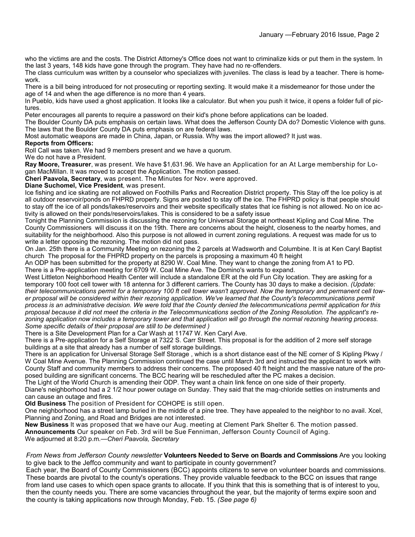who the victims are and the costs. The District Attorney's Office does not want to criminalize kids or put them in the system. In the last 3 years, 148 kids have gone through the program. They have had no re-offenders.

The class curriculum was written by a counselor who specializes with juveniles. The class is lead by a teacher. There is homework.

There is a bill being introduced for not prosecuting or reporting sexting. It would make it a misdemeanor for those under the age of 14 and when the age difference is no more than 4 years.

In Pueblo, kids have used a ghost application. It looks like a calculator. But when you push it twice, it opens a folder full of pictures.

Peter encourages all parents to require a password on their kid's phone before applications can be loaded.

The Boulder County DA puts emphasis on certain laws. What does the Jefferson County DA do? Domestic Violence with guns. The laws that the Boulder County DA puts emphasis on are federal laws.

Most automatic weapons are made in China, Japan, or Russia. Why was the import allowed? It just was.

#### **Reports from Officers:**

Roll Call was taken. We had 9 members present and we have a quorum.

We do not have a President.

**Ray Moore, Treasurer**, was present. We have \$1,631.96. We have an Application for an At Large membership for Logan MacMillan. It was moved to accept the Application. The motion passed.

**Cheri Paavola, Secretary**, was present. The Minutes for Nov. were approved.

#### **Diane Suchomel, Vice President**, was present.

Ice fishing and ice skating are not allowed on Foothills Parks and Recreation District property. This Stay off the Ice policy is at all outdoor reservoir/ponds on FHPRD property. Signs are posted to stay off the ice. The FHPRD policy is that people should to stay off the ice of all ponds/lakes/reservoirs and their website specifically states that ice fishing is not allowed. No on ice activity is allowed on their ponds/reservoirs/lakes. This is considered to be a safety issue

Tonight the Planning Commission is discussing the rezoning for Universal Storage at northeast Kipling and Coal Mine. The County Commissioners will discuss it on the 19th. There are concerns about the height, closeness to the nearby homes, and suitability for the neighborhood. Also this purpose is not allowed in current zoning regulations. A request was made for us to write a letter opposing the rezoning. The motion did not pass.

On Jan. 25th there is a Community Meeting on rezoning the 2 parcels at Wadsworth and Columbine. It is at Ken Caryl Baptist church The proposal for the FHPRD property on the parcels is proposing a maximum 40 ft height

An ODP has been submitted for the property at 8290 W. Coal Mine. They want to change the zoning from A1 to PD. There is a Pre-application meeting for 6709 W. Coal Mine Ave. The Domino's wants to expand.

West Littleton Neighborhood Health Center will include a standalone ER at the old Fun City location. They are asking for a temporary 100 foot cell tower with 18 antenna for 3 different carriers. The County has 30 days to make a decision. *(Update: their telecommunications permit for a temporary 100 ft cell tower wasn't approved. Now the temporary and permanent cell tow*er proposal will be considered within their rezoning application. We've learned that the County's telecommunications permit *process is an administrative decision. We were told that the County denied the telecommunications permit application for this proposal because it did not meet the criteria in the Telecommunications section of the Zoning Resolution. The applicant's rezoning application now includes a temporary tower and that application will go through the normal rezoning hearing process. Some specific details of their proposal are still to be determined )*

There is a Site Development Plan for a Car Wash at 11747 W. Ken Caryl Ave.

There is a Pre-application for a Self Storage at 7322 S. Carr Street. This proposal is for the addition of 2 more self storage buildings at a site that already has a number of self storage buildings.

There is an application for Universal Storage Self Storage , which is a short distance east of the NE corner of S Kipling Pkwy / W Coal Mine Avenue. The Planning Commission continued the case until March 3rd and instructed the applicant to work with County Staff and community members to address their concerns. The proposed 40 ft height and the massive nature of the proposed building are significant concerns. The BCC hearing will be rescheduled after the PC makes a decision.

The Light of the World Church is amending their ODP. They want a chain link fence on one side of their property.

Diane's neighborhood had a 2 1/2 hour power outage on Sunday. They said that the mag-chloride settles on instruments and can cause an outage and fires.

**Old Business** The position of President for COHOPE is still open.

One neighborhood has a street lamp buried in the middle of a pine tree. They have appealed to the neighbor to no avail. Xcel, Planning and Zoning, and Road and Bridges are not interested.

**New Business** It was proposed that we have our Aug. meeting at Clement Park Shelter 6. The motion passed.

**Announcements** Our speaker on Feb. 3rd will be Sue Fenniman, Jefferson County Council of Aging. We adjourned at 8:20 p.m.—*Cheri Paavola, Secretary*

#### *From News from Jefferson County newsletter* **Volunteers Needed to Serve on Boards and Commissions** Are you looking to give back to the Jeffco community and want to participate in county government?

Each year, the Board of County Commissioners (BCC) appoints citizens to serve on volunteer boards and commissions. These boards are pivotal to the county's operations. They provide valuable feedback to the BCC on issues that range from land use cases to which open space grants to allocate. If you think that this is something that is of interest to you, then the county needs you. There are some vacancies throughout the year, but the majority of terms expire soon and the county is taking applications now through Monday, Feb. 15. *(See page 6)*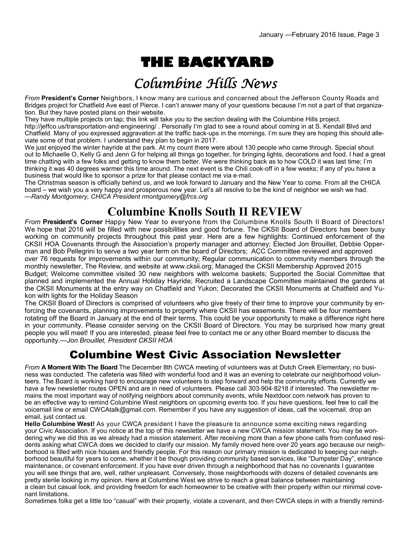# **THE BACKYARD**

## Columbine Hills News

*From* **President's Corner** Neighbors, I know many are curious and concerned about the Jefferson County Roads and Bridges project for Chatfield Ave east of Pierce. I can't answer many of your questions because I'm not a part of that organization. But they have posted plans on their website.

They have multiple projects on tap; this link will take you to the section dealing with the Columbine Hills project. http://jeffco.us/transportation-and-engineering/ . Personally I'm glad to see a round about coming in at S. Kendall Blvd and Chatfield. Many of you expressed aggravation at the traffic back-ups in the mornings. I'm sure they are hoping this should alleviate some of that problem. I understand they plan to begin in 2017.

We just enjoyed the winter hayride at the park. At my count there were about 130 people who came through. Special shout out to Michaelle O, Kelly G and Jenn G for helping all things go together, for bringing lights, decorations and food. I had a great time chatting with a few folks and getting to know them better. We were thinking back as to how COLD it was last time; I'm thinking it was 40 degrees warmer this time around. The next event is the Chili cook-off in a few weeks; if any of you have a business that would like to sponsor a prize for that please contact me via e-mail.

The Christmas season is officially behind us, and we look forward to January and the New Year to come. From all the CHICA board – we wish you a very happy and prosperous new year. Let's all resolve to be the kind of neighbor we wish we had. —*Randy Montgomery, CHICA President rmontgomery@frcs.org*

### **Columbine Knolls South II REVIEW**

*From* **President's Corner** Happy New Year to everyone from the Columbine Knolls South II Board of Directors! We hope that 2016 will be filled with new possibilities and good fortune. The CKSII Board of Directors has been busy working on community projects throughout this past year. Here are a few highlights: Continued enforcement of the CKSII HOA Covenants through the Association's property manager and attorney; Elected Jon Brouillet, Debbie Opperman and Bob Pellegrini to serve a two year term on the board of Directors; ACC Committee reviewed and approved over 76 requests for improvements within our community; Regular communication to community members through the monthly newsletter, The Review, and website at www.cksii.org; Managed the CKSII Membership Approved 2015

Budget; Welcome committee visited 30 new neighbors with welcome baskets; Supported the Social Committee that planned and implemented the Annual Holiday Hayride; Recruited a Landscape Committee maintained the gardens at the CKSII Monuments at the entry way on Chatfield and Yukon; Decorated the CKSII Monuments at Chatfield and Yukon with lights for the Holiday Season

The CKSII Board of Directors is comprised of volunteers who give freely of their time to improve your community by enforcing the covenants, planning improvements to property where CKSII has easements. There will be four members rotating off the Board in January at the end of their terms. This could be your opportunity to make a difference right here in your community. Please consider serving on the CKSII Board of Directors. You may be surprised how many great people you will meet! If you are interested, please feel free to contact me or any other Board member to discuss the opportunity.—*Jon Brouillet, President CKSII HOA*

#### Columbine West Civic Association Newsletter

*From* **A Moment With The Board** The December 8th CWCA meeting of volunteers was at Dutch Creek Elementary, no business was conducted. The cafeteria was filled with wonderful food and it was an evening to celebrate our neighborhood volunteers. The Board is working hard to encourage new volunteers to step forward and help the community efforts. Currently we have a few newsletter routes OPEN and are in need of volunteers. Please call 303-904-8218 if interested. The newsletter remains the most important way of notifying neighbors about community events, while Nextdoor.com network has proven to be an effective way to remind Columbine West neighbors on upcoming events too. If you have questions, feel free to call the voicemail line or email CWCAtalk@gmail.com. Remember if you have any suggestion of ideas, call the voicemail, drop an email, just contact us.

**Hello Columbine West!** As your CWCA president I have the pleasure to announce some exciting news regarding your Civic Association. If you notice at the top of this newsletter we have a new CWCA mission statement. You may be wondering why we did this as we already had a mission statement. After receiving more than a few phone calls from confused residents asking what CWCA does we decided to clarify our mission. My family moved here over 20 years ago because our neighborhood is filled with nice houses and friendly people. For this reason our primary mission is dedicated to keeping our neighborhood beautiful for years to come, whether it be though providing community based services, like "Dumpster Day", entrance maintenance, or covenant enforcement. If you have ever driven through a neighborhood that has no covenants I guarantee you will see things that are, well, rather unpleasant. Conversely, those neighborhoods with dozens of detailed covenants are pretty sterile looking in my opinion. Here at Columbine West we strive to reach a great balance between maintaining a clean but casual look, and providing freedom for each homeowner to be creative with their property within our minimal covenant limitations.

Sometimes folks get a little too "casual" with their property, violate a covenant, and then CWCA steps in with a friendly remind-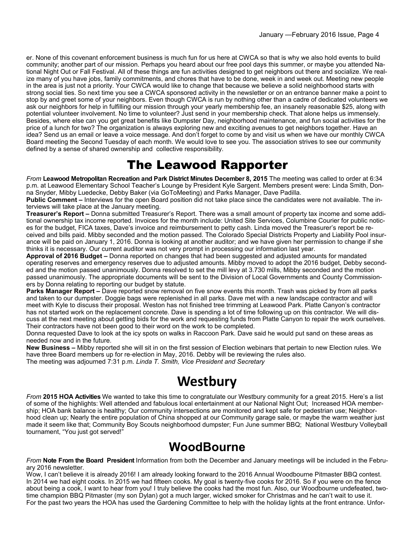er. None of this covenant enforcement business is much fun for us here at CWCA so that is why we also hold events to build community; another part of our mission. Perhaps you heard about our free pool days this summer, or maybe you attended National Night Out or Fall Festival. All of these things are fun activities designed to get neighbors out there and socialize. We realize many of you have jobs, family commitments, and chores that have to be done, week in and week out. Meeting new people in the area is just not a priority. Your CWCA would like to change that because we believe a solid neighborhood starts with strong social ties. So next time you see a CWCA sponsored activity in the newsletter or on an entrance banner make a point to stop by and greet some of your neighbors. Even though CWCA is run by nothing other than a cadre of dedicated volunteers we ask our neighbors for help in fulfilling our mission through your yearly membership fee, an insanely reasonable \$25, along with potential volunteer involvement. No time to volunteer? Just send in your membership check. That alone helps us immensely. Besides, where else can you get great benefits like Dumpster Day, neighborhood maintenance, and fun social activities for the price of a lunch for two? The organization is always exploring new and exciting avenues to get neighbors together. Have an idea? Send us an email or leave a voice message. And don't forget to come by and visit us when we have our monthly CWCA Board meeting the Second Tuesday of each month. We would love to see you. The association strives to see our community defined by a sense of shared ownership and collective responsibility.

### The Leawood Rapporter

*From* **Leawood Metropolitan Recreation and Park District Minutes December 8, 2015** The meeting was called to order at 6:34 p.m. at Leawood Elementary School Teacher's Lounge by President Kyle Sargent. Members present were: Linda Smith, Donna Snyder, Mibby Luedecke, Debby Baker (via GoToMeeting) and Parks Manager, Dave Padilla.

**Public Comment –** Interviews for the open Board position did not take place since the candidates were not available. The interviews will take place at the January meeting.

**Treasurer's Report –** Donna submitted Treasurer's Report. There was a small amount of property tax income and some additional ownership tax income reported. Invoices for the month include: United Site Services, Columbine Courier for public notices for the budget, FICA taxes, Dave's invoice and reimbursement to petty cash. Linda moved the Treasurer's report be received and bills paid. Mibby seconded and the motion passed. The Colorado Special Districts Property and Liability Pool insurance will be paid on January 1, 2016. Donna is looking at another auditor; and we have given her permission to change if she thinks it is necessary. Our current auditor was not very prompt in processing our information last year.

**Approval of 2016 Budget –** Donna reported on changes that had been suggested and adjusted amounts for mandated operating reserves and emergency reserves due to adjusted amounts. Mibby moved to adopt the 2016 budget, Debby seconded and the motion passed unanimously. Donna resolved to set the mill levy at 3.730 mills, Mibby seconded and the motion passed unanimously. The appropriate documents will be sent to the Division of Local Governments and County Commissioners by Donna relating to reporting our budget by statute.

**Parks Manager Report –** Dave reported snow removal on five snow events this month. Trash was picked by from all parks and taken to our dumpster. Doggie bags were replenished in all parks. Dave met with a new landscape contractor and will meet with Kyle to discuss their proposal. Weston has not finished tree trimming at Leawood Park. Platte Canyon's contractor has not started work on the replacement concrete. Dave is spending a lot of time following up on this contractor. We will discuss at the next meeting about getting bids for the work and requesting funds from Platte Canyon to repair the work ourselves. Their contractors have not been good to their word on the work to be completed.

Donna requested Dave to look at the icy spots on walks in Raccoon Park. Dave said he would put sand on these areas as needed now and in the future.

**New Business –** Mibby reported she will sit in on the first session of Election webinars that pertain to new Election rules. We have three Board members up for re-election in May, 2016. Debby will be reviewing the rules also. The meeting was adjourned 7:31 p.m. *Linda T. Smith, Vice President and Secretary*

## **Westbury**

*From* **2015 HOA Activities** We wanted to take this time to congratulate our Westbury community for a great 2015. Here's a list of some of the highlights: Well attended and fabulous local entertainment at our National Night Out; Increased HOA membership; HOA bank balance is healthy; Our community intersections are monitored and kept safe for pedestrian use; Neighborhood clean up; Nearly the entire population of China shopped at our Community garage sale, or maybe the warm weather just made it seem like that; Community Boy Scouts neighborhood dumpster; Fun June summer BBQ; National Westbury Volleyball tournament, "You just got served!"

### **WoodBourne**

*From* **Note From the Board President** Information from both the December and January meetings will be included in the February 2016 newsletter.

Wow, I can't believe it is already 2016! I am already looking forward to the 2016 Annual Woodbourne Pitmaster BBQ contest. In 2014 we had eight cooks. In 2015 we had fifteen cooks. My goal is twenty-five cooks for 2016. So if you were on the fence about being a cook, I want to hear from you! I truly believe the cooks had the most fun. Also, our Woodbourne undefeated, twotime champion BBQ Pitmaster (my son Dylan) got a much larger, wicked smoker for Christmas and he can't wait to use it. For the past two years the HOA has used the Gardening Committee to help with the holiday lights at the front entrance. Unfor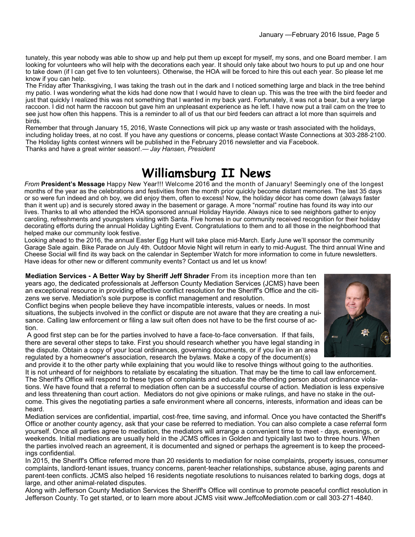tunately, this year nobody was able to show up and help put them up except for myself, my sons, and one Board member. I am looking for volunteers who will help with the decorations each year. It should only take about two hours to put up and one hour to take down (if I can get five to ten volunteers). Otherwise, the HOA will be forced to hire this out each year. So please let me know if you can help.

The Friday after Thanksgiving, I was taking the trash out in the dark and I noticed something large and black in the tree behind my patio. I was wondering what the kids had done now that I would have to clean up. This was the tree with the bird feeder and just that quickly I realized this was not something that I wanted in my back yard. Fortunately, it was not a bear, but a very large raccoon. I did not harm the raccoon but gave him an unpleasant experience as he left. I have now put a trail cam on the tree to see just how often this happens. This is a reminder to all of us that our bird feeders can attract a lot more than squirrels and birds.

Remember that through January 15, 2016, Waste Connections will pick up any waste or trash associated with the holidays, including holiday trees, at no cost. If you have any questions or concerns, please contact Waste Connections at 303-288-2100. The Holiday lights contest winners will be published in the February 2016 newsletter and via Facebook. Thanks and have a great winter season!.— *Jay Hansen, President*

**Williamsburg II News** 

*From* **President's Message** Happy New Year!!! Welcome 2016 and the month of January! Seemingly one of the longest months of the year as the celebrations and festivities from the month prior quickly become distant memories. The last 35 days or so were fun indeed and oh boy, we did enjoy them, often to excess! Now, the holiday décor has come down (always faster than it went up) and is securely stored away in the basement or garage. A more "normal" routine has found its way into our lives. Thanks to all who attended the HOA sponsored annual Holiday Hayride. Always nice to see neighbors gather to enjoy caroling, refreshments and youngsters visiting with Santa. Five homes in our community received recognition for their holiday decorating efforts during the annual Holiday Lighting Event. Congratulations to them and to all those in the neighborhood that helped make our community look festive.

Looking ahead to the 2016, the annual Easter Egg Hunt will take place mid-March. Early June we'll sponsor the community Garage Sale again. Bike Parade on July 4th. Outdoor Movie Night will return in early to mid-August. The third annual Wine and Cheese Social will find its way back on the calendar in September Watch for more information to come in future newsletters. Have ideas for other new or different community events? Contact us and let us know!

**Mediation Services - A Better Way by Sheriff Jeff Shrader** From its inception more than ten years ago, the dedicated professionals at Jefferson County Mediation Services (JCMS) have been an exceptional resource in providing effective conflict resolution for the Sheriff's Office and the citizens we serve. Mediation's sole purpose is conflict management and resolution.

Conflict begins when people believe they have incompatible interests, values or needs. In most situations, the subjects involved in the conflict or dispute are not aware that they are creating a nuisance. Calling law enforcement or filing a law suit often does not have to be the first course of action.

A good first step can be for the parties involved to have a face-to-face conversation. If that fails, there are several other steps to take. First you should research whether you have legal standing in the dispute. Obtain a copy of your local ordinances, governing documents, or if you live in an area regulated by a homeowner's association, research the bylaws. Make a copy of the document(s)

and provide it to the other party while explaining that you would like to resolve things without going to the authorities. It is not unheard of for neighbors to retaliate by escalating the situation. That may be the time to call law enforcement. The Sheriff's Office will respond to these types of complaints and educate the offending person about ordinance violations. We have found that a referral to mediation often can be a successful course of action. Mediation is less expensive and less threatening than court action. Mediators do not give opinions or make rulings, and have no stake in the outcome. This gives the negotiating parties a safe environment where all concerns, interests, information and ideas can be heard.

Mediation services are confidential, impartial, cost-free, time saving, and informal. Once you have contacted the Sheriff's Office or another county agency, ask that your case be referred to mediation. You can also complete a case referral form yourself. Once all parties agree to mediation, the mediators will arrange a convenient time to meet - days, evenings, or weekends. Initial mediations are usually held in the JCMS offices in Golden and typically last two to three hours. When the parties involved reach an agreement, it is documented and signed or perhaps the agreement is to keep the proceedings confidential.

In 2015, the Sheriff's Office referred more than 20 residents to mediation for noise complaints, property issues, consumer complaints, landlord-tenant issues, truancy concerns, parent-teacher relationships, substance abuse, aging parents and parent-teen conflicts. JCMS also helped 16 residents negotiate resolutions to nuisances related to barking dogs, dogs at large, and other animal-related disputes.

Along with Jefferson County Mediation Services the Sheriff's Office will continue to promote peaceful conflict resolution in Jefferson County. To get started, or to learn more about JCMS visit www.JeffcoMediation.com or call 303-271-4840.